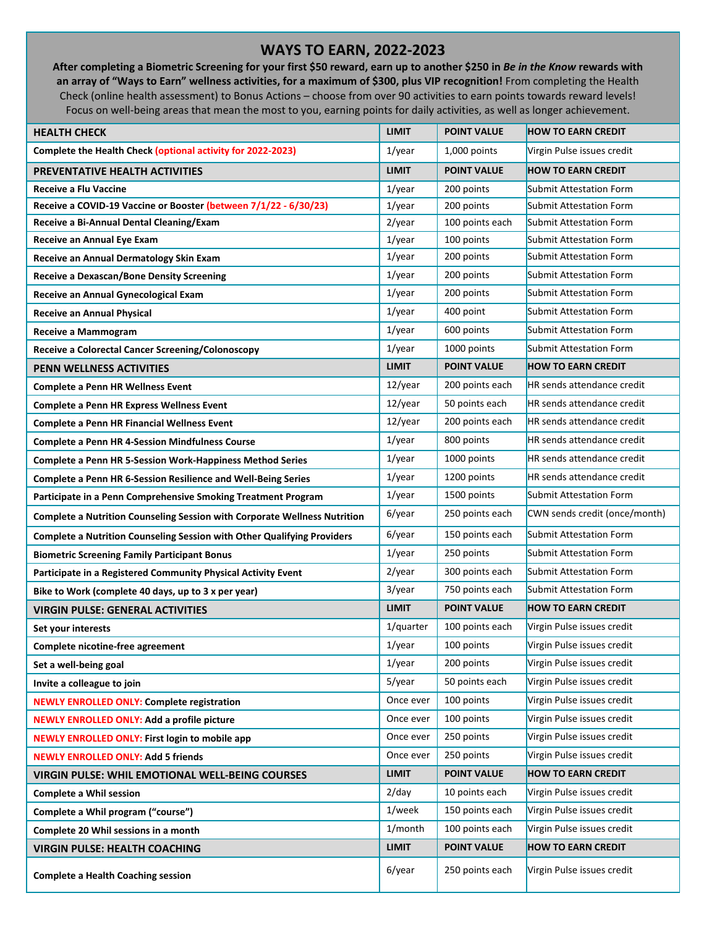## **WAYS TO EARN, 2022-2023**

**After completing a Biometric Screening for your first \$50 reward, earn up to another \$250 in** *Be in the Know* **rewards with an array of "Ways to Earn" wellness activities, for a maximum of \$300, plus VIP recognition!** From completing the Health Check (online health assessment) to Bonus Actions – choose from over 90 activities to earn points towards reward levels! Focus on well-being areas that mean the most to you, earning points for daily activities, as well as longer achievement.

| <b>HEALTH CHECK</b>                                                       | <b>LIMIT</b> | <b>POINT VALUE</b> | <b>HOW TO EARN CREDIT</b>         |
|---------------------------------------------------------------------------|--------------|--------------------|-----------------------------------|
| Complete the Health Check (optional activity for 2022-2023)               | $1$ /year    | 1,000 points       | Virgin Pulse issues credit        |
| <b>PREVENTATIVE HEALTH ACTIVITIES</b>                                     | <b>LIMIT</b> | <b>POINT VALUE</b> | <b>HOW TO EARN CREDIT</b>         |
| <b>Receive a Flu Vaccine</b>                                              | $1$ /year    | 200 points         | <b>Submit Attestation Form</b>    |
| Receive a COVID-19 Vaccine or Booster (between 7/1/22 - 6/30/23)          | $1$ /year    | 200 points         | Submit Attestation Form           |
| Receive a Bi-Annual Dental Cleaning/Exam                                  | $2$ /year    | 100 points each    | <b>Submit Attestation Form</b>    |
| Receive an Annual Eye Exam                                                | $1$ /year    | 100 points         | Submit Attestation Form           |
| Receive an Annual Dermatology Skin Exam                                   | $1$ /year    | 200 points         | Submit Attestation Form           |
| <b>Receive a Dexascan/Bone Density Screening</b>                          | $1$ /year    | 200 points         | <b>Submit Attestation Form</b>    |
| Receive an Annual Gynecological Exam                                      | $1$ /year    | 200 points         | <b>Submit Attestation Form</b>    |
| <b>Receive an Annual Physical</b>                                         | $1$ /year    | 400 point          | Submit Attestation Form           |
| Receive a Mammogram                                                       | $1$ /year    | 600 points         | <b>Submit Attestation Form</b>    |
| Receive a Colorectal Cancer Screening/Colonoscopy                         | $1$ /year    | 1000 points        | Submit Attestation Form           |
| <b>PENN WELLNESS ACTIVITIES</b>                                           | <b>LIMIT</b> | <b>POINT VALUE</b> | <b>HOW TO EARN CREDIT</b>         |
| <b>Complete a Penn HR Wellness Event</b>                                  | 12/year      | 200 points each    | <b>HR</b> sends attendance credit |
| <b>Complete a Penn HR Express Wellness Event</b>                          | 12/year      | 50 points each     | <b>HR</b> sends attendance credit |
| <b>Complete a Penn HR Financial Wellness Event</b>                        | $12$ /year   | 200 points each    | HR sends attendance credit        |
| <b>Complete a Penn HR 4-Session Mindfulness Course</b>                    | $1$ /year    | 800 points         | HR sends attendance credit        |
| <b>Complete a Penn HR 5-Session Work-Happiness Method Series</b>          | $1$ /year    | 1000 points        | HR sends attendance credit        |
| Complete a Penn HR 6-Session Resilience and Well-Being Series             | $1$ /year    | 1200 points        | HR sends attendance credit        |
| Participate in a Penn Comprehensive Smoking Treatment Program             | $1$ /year    | 1500 points        | <b>Submit Attestation Form</b>    |
| Complete a Nutrition Counseling Session with Corporate Wellness Nutrition | 6/year       | 250 points each    | CWN sends credit (once/month)     |
| Complete a Nutrition Counseling Session with Other Qualifying Providers   | 6/year       | 150 points each    | Submit Attestation Form           |
| <b>Biometric Screening Family Participant Bonus</b>                       | $1$ /year    | 250 points         | Submit Attestation Form           |
| Participate in a Registered Community Physical Activity Event             | $2$ /year    | 300 points each    | Submit Attestation Form           |
| Bike to Work (complete 40 days, up to 3 x per year)                       | 3/year       | 750 points each    | <b>Submit Attestation Form</b>    |
| <b>VIRGIN PULSE: GENERAL ACTIVITIES</b>                                   | <b>LIMIT</b> | <b>POINT VALUE</b> | <b>HOW TO EARN CREDIT</b>         |
| Set your interests                                                        | 1/quarter    | 100 points each    | Virgin Pulse issues credit        |
| Complete nicotine-free agreement                                          | $1$ /year    | 100 points         | Virgin Pulse issues credit        |
| Set a well-being goal                                                     | $1$ /year    | 200 points         | Virgin Pulse issues credit        |
| Invite a colleague to join                                                | 5/year       | 50 points each     | Virgin Pulse issues credit        |
| <b>NEWLY ENROLLED ONLY: Complete registration</b>                         | Once ever    | 100 points         | Virgin Pulse issues credit        |
| <b>NEWLY ENROLLED ONLY: Add a profile picture</b>                         | Once ever    | 100 points         | Virgin Pulse issues credit        |
| <b>NEWLY ENROLLED ONLY: First login to mobile app</b>                     | Once ever    | 250 points         | Virgin Pulse issues credit        |
| <b>NEWLY ENROLLED ONLY: Add 5 friends</b>                                 | Once ever    | 250 points         | Virgin Pulse issues credit        |
| <b>VIRGIN PULSE: WHIL EMOTIONAL WELL-BEING COURSES</b>                    | <b>LIMIT</b> | <b>POINT VALUE</b> | <b>HOW TO EARN CREDIT</b>         |
| <b>Complete a Whil session</b>                                            | 2/day        | 10 points each     | Virgin Pulse issues credit        |
| Complete a Whil program ("course")                                        | 1/week       | 150 points each    | Virgin Pulse issues credit        |
| Complete 20 Whil sessions in a month                                      | 1/month      | 100 points each    | Virgin Pulse issues credit        |
| <b>VIRGIN PULSE: HEALTH COACHING</b>                                      | <b>LIMIT</b> | <b>POINT VALUE</b> | <b>HOW TO EARN CREDIT</b>         |
| <b>Complete a Health Coaching session</b>                                 | 6/year       | 250 points each    | Virgin Pulse issues credit        |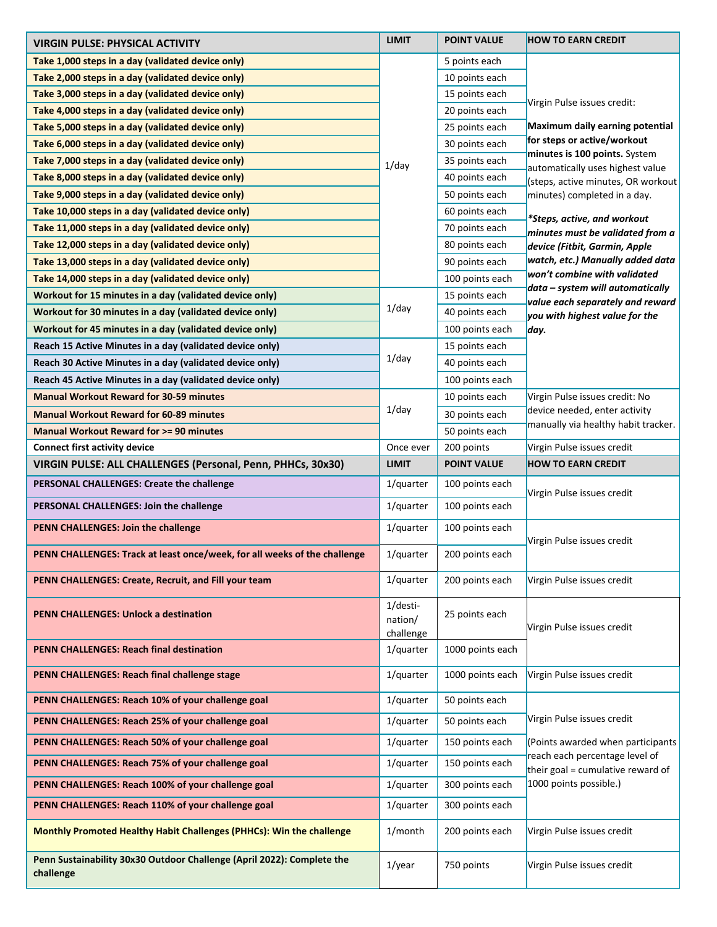| <b>VIRGIN PULSE: PHYSICAL ACTIVITY</b>                                    | <b>LIMIT</b> | <b>POINT VALUE</b> | <b>HOW TO EARN CREDIT</b>                                            |
|---------------------------------------------------------------------------|--------------|--------------------|----------------------------------------------------------------------|
| Take 1,000 steps in a day (validated device only)                         |              | 5 points each      |                                                                      |
| Take 2,000 steps in a day (validated device only)                         |              | 10 points each     |                                                                      |
| Take 3,000 steps in a day (validated device only)                         |              | 15 points each     |                                                                      |
| Take 4,000 steps in a day (validated device only)                         |              | 20 points each     | Virgin Pulse issues credit:                                          |
| Take 5,000 steps in a day (validated device only)                         |              | 25 points each     | Maximum daily earning potential                                      |
| Take 6,000 steps in a day (validated device only)                         |              | 30 points each     | for steps or active/workout                                          |
| Take 7,000 steps in a day (validated device only)                         | $1$ /day     | 35 points each     | minutes is 100 points. System<br>automatically uses highest value    |
| Take 8,000 steps in a day (validated device only)                         |              | 40 points each     | (steps, active minutes, OR workout                                   |
| Take 9,000 steps in a day (validated device only)                         |              | 50 points each     | minutes) completed in a day.                                         |
| Take 10,000 steps in a day (validated device only)                        |              | 60 points each     |                                                                      |
| Take 11,000 steps in a day (validated device only)                        |              | 70 points each     | *Steps, active, and workout<br>minutes must be validated from a      |
| Take 12,000 steps in a day (validated device only)                        |              | 80 points each     | device (Fitbit, Garmin, Apple                                        |
| Take 13,000 steps in a day (validated device only)                        |              | 90 points each     | watch, etc.) Manually added data                                     |
| Take 14,000 steps in a day (validated device only)                        |              | 100 points each    | won't combine with validated                                         |
| Workout for 15 minutes in a day (validated device only)                   |              | 15 points each     | data – system will automatically<br>value each separately and reward |
| Workout for 30 minutes in a day (validated device only)                   | $1$ /day     | 40 points each     | you with highest value for the                                       |
| Workout for 45 minutes in a day (validated device only)                   |              | 100 points each    | day.                                                                 |
| Reach 15 Active Minutes in a day (validated device only)                  |              | 15 points each     |                                                                      |
| Reach 30 Active Minutes in a day (validated device only)                  | $1$ /day     | 40 points each     |                                                                      |
| Reach 45 Active Minutes in a day (validated device only)                  |              | 100 points each    |                                                                      |
| <b>Manual Workout Reward for 30-59 minutes</b>                            |              | 10 points each     | Virgin Pulse issues credit: No                                       |
| <b>Manual Workout Reward for 60-89 minutes</b>                            | $1$ /day     | 30 points each     | device needed, enter activity                                        |
| <b>Manual Workout Reward for &gt;= 90 minutes</b>                         |              | 50 points each     | manually via healthy habit tracker.                                  |
| <b>Connect first activity device</b>                                      | Once ever    | 200 points         | Virgin Pulse issues credit                                           |
| VIRGIN PULSE: ALL CHALLENGES (Personal, Penn, PHHCs, 30x30)               | <b>LIMIT</b> | <b>POINT VALUE</b> | <b>HOW TO EARN CREDIT</b>                                            |
|                                                                           |              |                    |                                                                      |
| PERSONAL CHALLENGES: Create the challenge                                 | 1/quarter    | 100 points each    |                                                                      |
| PERSONAL CHALLENGES: Join the challenge                                   | 1/quarter    | 100 points each    | Virgin Pulse issues credit                                           |
| PENN CHALLENGES: Join the challenge                                       | 1/quarter    | 100 points each    |                                                                      |
| PENN CHALLENGES: Track at least once/week, for all weeks of the challenge | 1/quarter    | 200 points each    | Virgin Pulse issues credit                                           |
| PENN CHALLENGES: Create, Recruit, and Fill your team                      | 1/quarter    | 200 points each    | Virgin Pulse issues credit                                           |
| <b>PENN CHALLENGES: Unlock a destination</b>                              | 1/desti-     |                    |                                                                      |
|                                                                           | nation/      | 25 points each     | Virgin Pulse issues credit                                           |
|                                                                           | challenge    |                    |                                                                      |
| <b>PENN CHALLENGES: Reach final destination</b>                           | 1/quarter    | 1000 points each   |                                                                      |
| PENN CHALLENGES: Reach final challenge stage                              | 1/quarter    | 1000 points each   | Virgin Pulse issues credit                                           |
| PENN CHALLENGES: Reach 10% of your challenge goal                         | 1/quarter    | 50 points each     |                                                                      |
| PENN CHALLENGES: Reach 25% of your challenge goal                         | 1/quarter    | 50 points each     | Virgin Pulse issues credit                                           |
| PENN CHALLENGES: Reach 50% of your challenge goal                         | 1/quarter    | 150 points each    | (Points awarded when participants                                    |
| PENN CHALLENGES: Reach 75% of your challenge goal                         | 1/quarter    | 150 points each    | reach each percentage level of<br>their goal = cumulative reward of  |
| PENN CHALLENGES: Reach 100% of your challenge goal                        | 1/quarter    | 300 points each    | 1000 points possible.)                                               |
| PENN CHALLENGES: Reach 110% of your challenge goal                        | 1/quarter    | 300 points each    |                                                                      |
| Monthly Promoted Healthy Habit Challenges (PHHCs): Win the challenge      | 1/month      | 200 points each    | Virgin Pulse issues credit                                           |